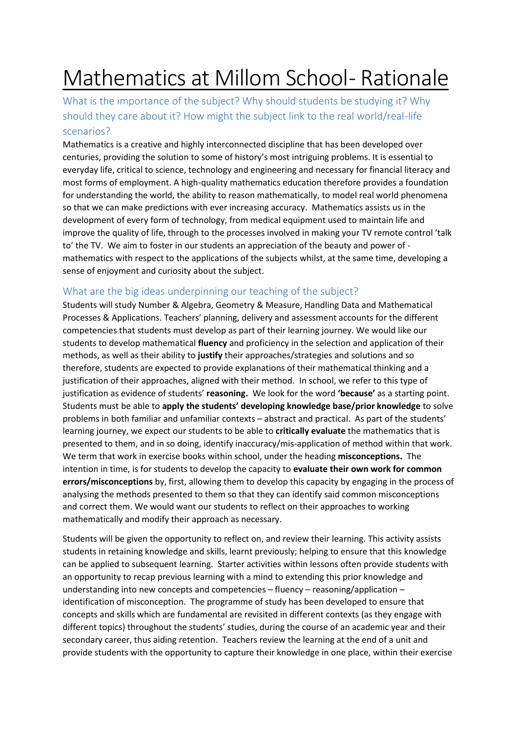# Mathematics at Millom School- Rationale

What is the importance of the subject? Why should students be studying it? Why should they care about it? How might the subject link to the real world/real-life scenarios?

Mathematics is a creative and highly interconnected discipline that has been developed over centuries, providing the solution to some of history's most intriguing problems. It is essential to everyday life, critical to science, technology and engineering and necessary for financial literacy and most forms of employment. A high-quality mathematics education therefore provides a foundation for understanding the world, the ability to reason mathematically, to model real world phenomena so that we can make predictions with ever increasing accuracy. Mathematics assists us in the development of every form of technology, from medical equipment used to maintain life and improve the quality of life, through to the processes involved in making your TV remote control 'talk to' the TV. We aim to foster in our students an appreciation of the beauty and power of mathematics with respect to the applications of the subjects whilst, at the same time, developing a sense of enjoyment and curiosity about the subject.

## What are the big ideas underpinning our teaching of the subject?

Students will study Number & Algebra, Geometry & Measure, Handling Data and Mathematical Processes & Applications. Teachers' planning, delivery and assessment accounts for the different competencies that students must develop as part of their learning journey. We would like our students to develop mathematical **fluency** and proficiency in the selection and application of their methods, as well as their ability to **justify** their approaches/strategies and solutions and so therefore, students are expected to provide explanations of their mathematical thinking and a justification of their approaches, aligned with their method. In school, we refer to this type of justification as evidence of students' **reasoning.** We look for the word **'because'** as a starting point. Students must be able to **apply the students' developing knowledge base/prior knowledge** to solve problems in both familiar and unfamiliar contexts – abstract and practical. As part of the students' learning journey, we expect our students to be able to **critically evaluate** the mathematics that is presented to them, and in so doing, identify inaccuracy/mis-application of method within that work. We term that work in exercise books within school, under the heading **misconceptions.** The intention in time, is for students to develop the capacity to **evaluate their own work for common errors/misconceptions** by, first, allowing them to develop this capacity by engaging in the process of analysing the methods presented to them so that they can identify said common misconceptions and correct them. We would want our students to reflect on their approaches to working mathematically and modify their approach as necessary.

Students will be given the opportunity to reflect on, and review their learning. This activity assists students in retaining knowledge and skills, learnt previously; helping to ensure that this knowledge can be applied to subsequent learning. Starter activities within lessons often provide students with an opportunity to recap previous learning with a mind to extending this prior knowledge and understanding into new concepts and competencies – fluency – reasoning/application – identification of misconception. The programme of study has been developed to ensure that concepts and skills which are fundamental are revisited in different contexts (as they engage with different topics) throughout the students' studies, during the course of an academic year and their secondary career, thus aiding retention. Teachers review the learning at the end of a unit and provide students with the opportunity to capture their knowledge in one place, within their exercise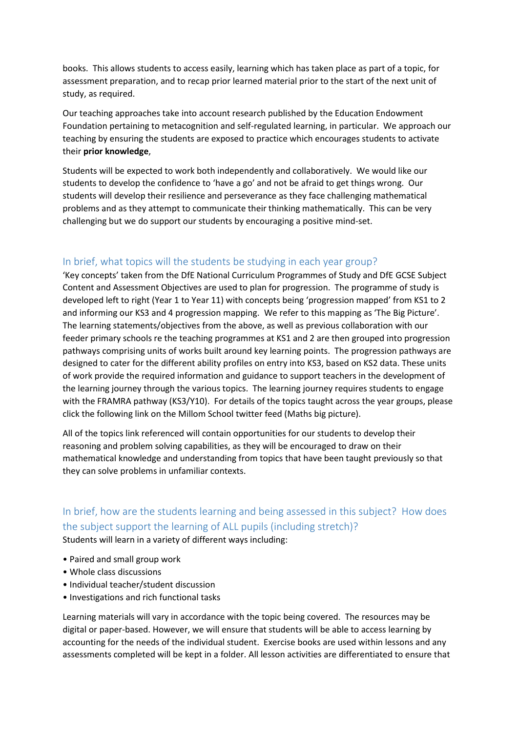books. This allows students to access easily, learning which has taken place as part of a topic, for assessment preparation, and to recap prior learned material prior to the start of the next unit of study, as required.

Our teaching approaches take into account research published by the Education Endowment Foundation pertaining to metacognition and self-regulated learning, in particular. We approach our teaching by ensuring the students are exposed to practice which encourages students to activate their **prior knowledge**,

Students will be expected to work both independently and collaboratively. We would like our students to develop the confidence to 'have a go' and not be afraid to get things wrong. Our students will develop their resilience and perseverance as they face challenging mathematical problems and as they attempt to communicate their thinking mathematically. This can be very challenging but we do support our students by encouraging a positive mind-set.

#### In brief, what topics will the students be studying in each year group?

'Key concepts' taken from the DfE National Curriculum Programmes of Study and DfE GCSE Subject Content and Assessment Objectives are used to plan for progression. The programme of study is developed left to right (Year 1 to Year 11) with concepts being 'progression mapped' from KS1 to 2 and informing our KS3 and 4 progression mapping. We refer to this mapping as 'The Big Picture'. The learning statements/objectives from the above, as well as previous collaboration with our feeder primary schools re the teaching programmes at KS1 and 2 are then grouped into progression pathways comprising units of works built around key learning points. The progression pathways are designed to cater for the different ability profiles on entry into KS3, based on KS2 data. These units of work provide the required information and guidance to support teachers in the development of the learning journey through the various topics. The learning journey requires students to engage with the FRAMRA pathway (KS3/Y10). For details of the topics taught across the year groups, please click the following link on the Millom School twitter feed (Maths big picture).

All of the topics link referenced will contain opportunities for our students to develop their reasoning and problem solving capabilities, as they will be encouraged to draw on their mathematical knowledge and understanding from topics that have been taught previously so that they can solve problems in unfamiliar contexts.

# In brief, how are the students learning and being assessed in this subject? How does the subject support the learning of ALL pupils (including stretch)?

Students will learn in a variety of different ways including:

- Paired and small group work
- Whole class discussions
- Individual teacher/student discussion
- Investigations and rich functional tasks

Learning materials will vary in accordance with the topic being covered. The resources may be digital or paper-based. However, we will ensure that students will be able to access learning by accounting for the needs of the individual student. Exercise books are used within lessons and any assessments completed will be kept in a folder. All lesson activities are differentiated to ensure that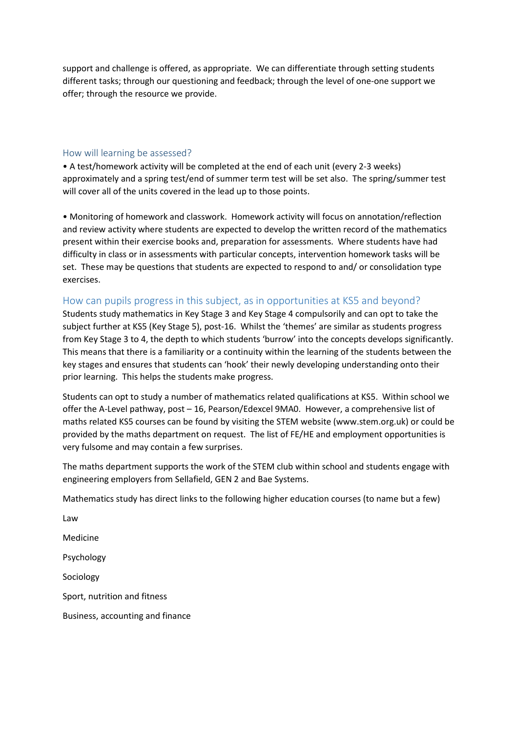support and challenge is offered, as appropriate. We can differentiate through setting students different tasks; through our questioning and feedback; through the level of one-one support we offer; through the resource we provide.

#### How will learning be assessed?

• A test/homework activity will be completed at the end of each unit (every 2-3 weeks) approximately and a spring test/end of summer term test will be set also. The spring/summer test will cover all of the units covered in the lead up to those points.

• Monitoring of homework and classwork. Homework activity will focus on annotation/reflection and review activity where students are expected to develop the written record of the mathematics present within their exercise books and, preparation for assessments. Where students have had difficulty in class or in assessments with particular concepts, intervention homework tasks will be set. These may be questions that students are expected to respond to and/ or consolidation type exercises.

#### How can pupils progress in this subject, as in opportunities at KS5 and beyond?

Students study mathematics in Key Stage 3 and Key Stage 4 compulsorily and can opt to take the subject further at KS5 (Key Stage 5), post-16. Whilst the 'themes' are similar as students progress from Key Stage 3 to 4, the depth to which students 'burrow' into the concepts develops significantly. This means that there is a familiarity or a continuity within the learning of the students between the key stages and ensures that students can 'hook' their newly developing understanding onto their prior learning. This helps the students make progress.

Students can opt to study a number of mathematics related qualifications at KS5. Within school we offer the A-Level pathway, post – 16, Pearson/Edexcel 9MA0. However, a comprehensive list of maths related KS5 courses can be found by visiting the STEM website (www.stem.org.uk) or could be provided by the maths department on request. The list of FE/HE and employment opportunities is very fulsome and may contain a few surprises.

The maths department supports the work of the STEM club within school and students engage with engineering employers from Sellafield, GEN 2 and Bae Systems.

Mathematics study has direct links to the following higher education courses (to name but a few)

Law Medicine Psychology Sociology Sport, nutrition and fitness Business, accounting and finance